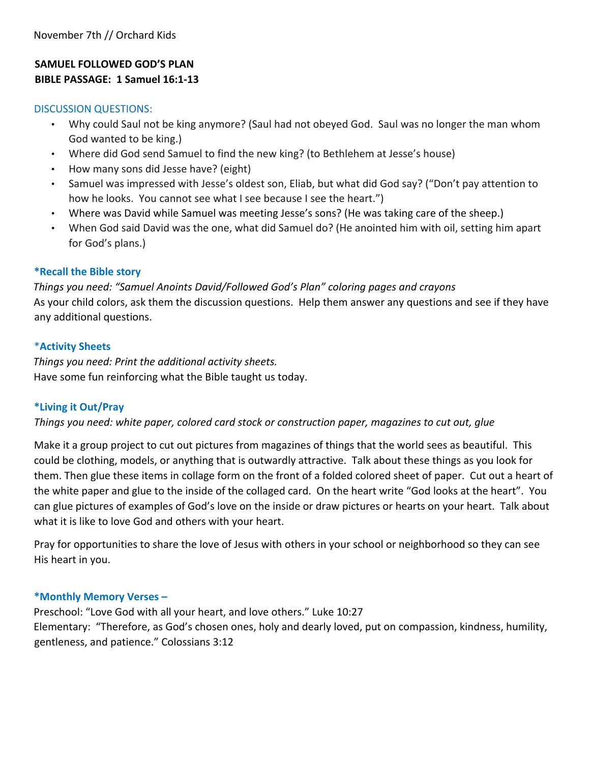### **SAMUEL FOLLOWED GOD'S PLAN BIBLE PASSAGE: 1 Samuel 16:1-13**

#### DISCUSSION QUESTIONS:

- Why could Saul not be king anymore? (Saul had not obeyed God. Saul was no longer the man whom God wanted to be king.)
- Where did God send Samuel to find the new king? (to Bethlehem at Jesse's house)
- How many sons did Jesse have? (eight)
- Samuel was impressed with Jesse's oldest son, Eliab, but what did God say? ("Don't pay attention to how he looks. You cannot see what I see because I see the heart.")
- Where was David while Samuel was meeting Jesse's sons? (He was taking care of the sheep.)
- When God said David was the one, what did Samuel do? (He anointed him with oil, setting him apart for God's plans.)

### **\*Recall the Bible story**

*Things you need: "Samuel Anoints David/Followed God's Plan" coloring pages and crayons*  As your child colors, ask them the discussion questions. Help them answer any questions and see if they have any additional questions.

### \***Activity Sheets**

*Things you need: Print the additional activity sheets.*  Have some fun reinforcing what the Bible taught us today.

### **\*Living it Out/Pray**

*Things you need: white paper, colored card stock or construction paper, magazines to cut out, glue*

Make it a group project to cut out pictures from magazines of things that the world sees as beautiful. This could be clothing, models, or anything that is outwardly attractive. Talk about these things as you look for them. Then glue these items in collage form on the front of a folded colored sheet of paper. Cut out a heart of the white paper and glue to the inside of the collaged card. On the heart write "God looks at the heart". You can glue pictures of examples of God's love on the inside or draw pictures or hearts on your heart. Talk about what it is like to love God and others with your heart.

Pray for opportunities to share the love of Jesus with others in your school or neighborhood so they can see His heart in you.

### **\*Monthly Memory Verses –**

Preschool: "Love God with all your heart, and love others." Luke 10:27 Elementary: "Therefore, as God's chosen ones, holy and dearly loved, put on compassion, kindness, humility, gentleness, and patience." Colossians 3:12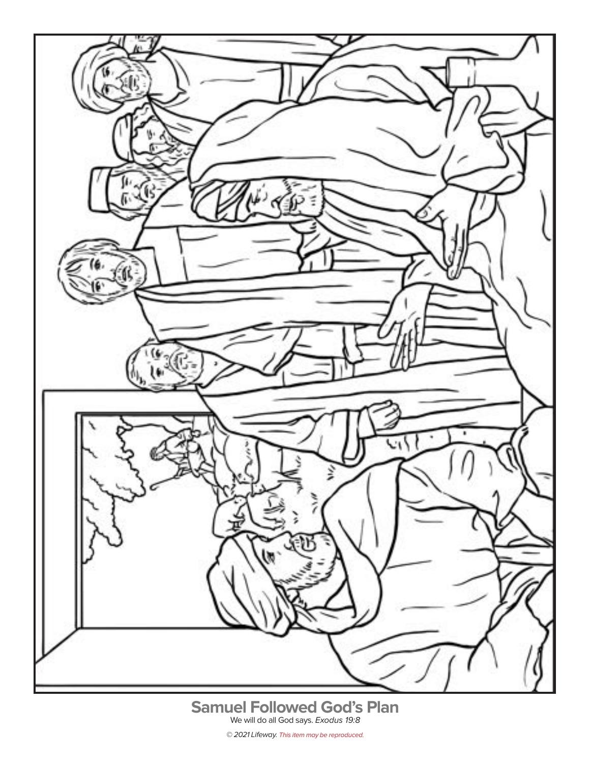

**Samuel Followed God's Plan** We will do all God says. Exodus 19:8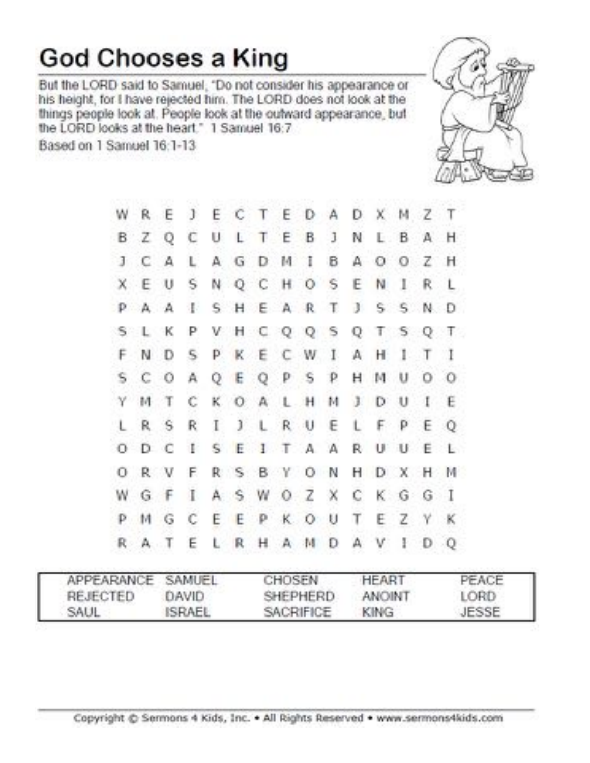## **God Chooses a King**

But the LORD said to Samuel, "Do not consider his appearance or his height, for I have rejected him. The LORD does not look at the things people look at. People look at the outward appearance, but the LORD looks at the heart." 1 Samuel 16:7

Based on 1 Samuel 16:1-13



|                               |             |       |    |  | W R E J E C T E D A D X M Z T |  |  |  |                               |  |
|-------------------------------|-------------|-------|----|--|-------------------------------|--|--|--|-------------------------------|--|
| B Z Q C U L T E B J N L B A H |             |       |    |  |                               |  |  |  |                               |  |
|                               | J C A       |       | L. |  | A G D M I B A O O Z H         |  |  |  |                               |  |
|                               |             |       |    |  | X E U S N Q C H O S E N I R L |  |  |  |                               |  |
|                               |             |       |    |  |                               |  |  |  | PAAISHEARTJSSND               |  |
|                               |             | S L K |    |  |                               |  |  |  | P V H C Q Q S Q T S Q T       |  |
|                               |             |       |    |  | F N D S P K E C W I A H I T I |  |  |  |                               |  |
|                               | $S$ $C$ $O$ |       |    |  | A Q E Q P S P H M U O O       |  |  |  |                               |  |
|                               |             | Y M T | C  |  | KOALHMJDUIE                   |  |  |  |                               |  |
|                               | LRS         |       | R  |  | I J L R U E L F P E Q         |  |  |  |                               |  |
|                               |             |       |    |  |                               |  |  |  | O D C I S E I T A A R U U E L |  |
|                               |             | ORVF  |    |  |                               |  |  |  | R S B Y O N H D X H M         |  |
|                               |             |       |    |  | WGFIASWOZXCKGGI               |  |  |  |                               |  |
|                               |             |       |    |  | P M G C E E P K O U T E Z Y K |  |  |  |                               |  |
|                               | R A T       |       |    |  | ELRHAMDAVIDQ                  |  |  |  |                               |  |

|          | APPEARANCE SAMUEL | CHOSEN           | HEART         | PEACE |
|----------|-------------------|------------------|---------------|-------|
| REJECTED | DAVID             | SHEPHERD         | <b>ANOINT</b> | LORD  |
| SAUL     | <b>ISRAEL</b>     | <b>SACRIFICE</b> | KING          | JESSE |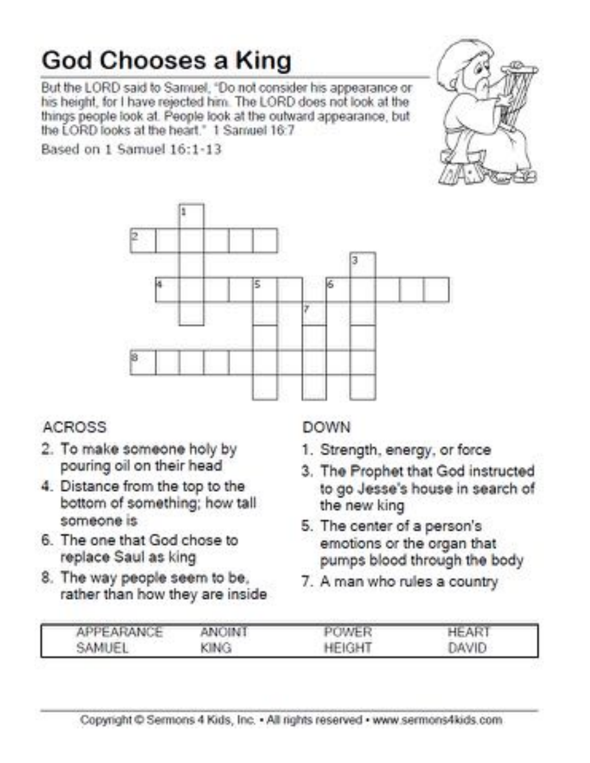# **God Chooses a King**

But the LORD said to Samuel, "Do not consider his appearance or his height, for I have rejected him. The LORD does not look at the things people look at. People look at the outward appearance, but the LORD looks at the heart." 1 Samuel 16:7

Based on 1 Samuel 16:1-13



### **ACROSS**

- 2. To make someone holy by pouring oil on their head
- 4. Distance from the top to the bottom of something; how tall someone is
- 6. The one that God chose to replace Saul as king
- 8. The way people seem to be, rather than how they are inside

### **DOWN**

- 1. Strength, energy, or force
- 3. The Prophet that God instructed to go Jesse's house in search of the new king
- 5. The center of a person's emotions or the organ that pumps blood through the body
- 7. A man who rules a country

| APPEARANCE | <b>ANOINT</b> | POWER         | <b>HEART</b> |
|------------|---------------|---------------|--------------|
| SAMUEL     | KING          | <b>HEIGHT</b> | DAVID        |

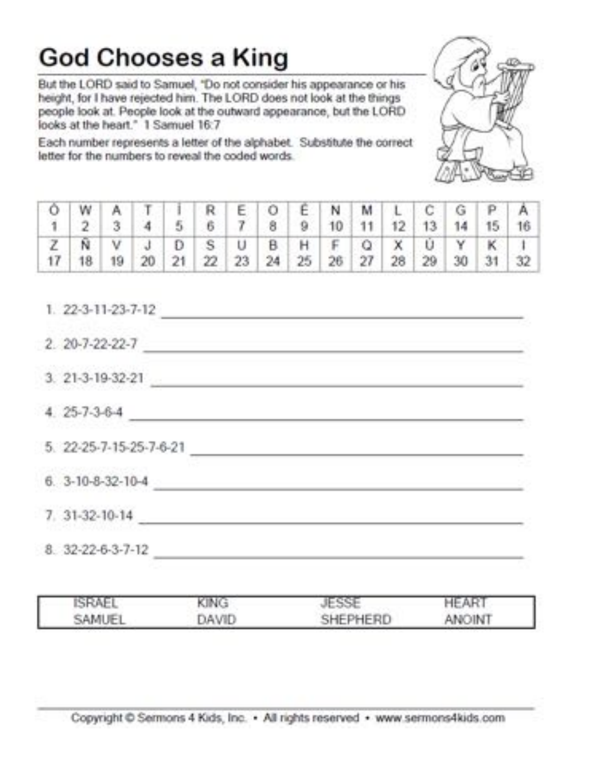## **God Chooses a King**

But the LORD said to Samuel, "Do not consider his appearance or his height, for I have rejected him. The LORD does not look at the things people look at. People look at the outward appearance, but the LORD looks at the heart." 1 Samuel 16:7

Each number represents a letter of the alphabet. Substitute the correct letter for the numbers to reveal the coded words.



|  |  |  |  |  |  |  | OWATIREOENMLCGPA                                                                                                                  |
|--|--|--|--|--|--|--|-----------------------------------------------------------------------------------------------------------------------------------|
|  |  |  |  |  |  |  | 1 2 3 4 5 6 7 8 9 10 11 12 13 14 15 16                                                                                            |
|  |  |  |  |  |  |  | $Z \big  N \big  V \big  J \big  D \big  S \big  U \big  B \big  H \big  F \big  Q \big  X \big  U \big  Y \big  K \big  1 \big $ |
|  |  |  |  |  |  |  | 17 18 19 20 21 22 23 24 25 26 27 28 29 30 31 32                                                                                   |

 $1.22 - 3 - 11 - 23 - 7 - 12$  $2.20 - 7 - 22 - 22 - 7$  $3. 21-3-19-32-21$  $4.25-7-3-6-4$ 5. 22-25-7-15-25-7-6-21  $6.3-10-8-32-10-4$ 7. 31-32-10-14 8. 32-22-6-3-7-12

| ISRAEL | KING         | ESS.     | <b>HEAR</b>   |  |
|--------|--------------|----------|---------------|--|
| SAMUEL | <b>JAVID</b> | SHEPHERD | <b>ANOINT</b> |  |